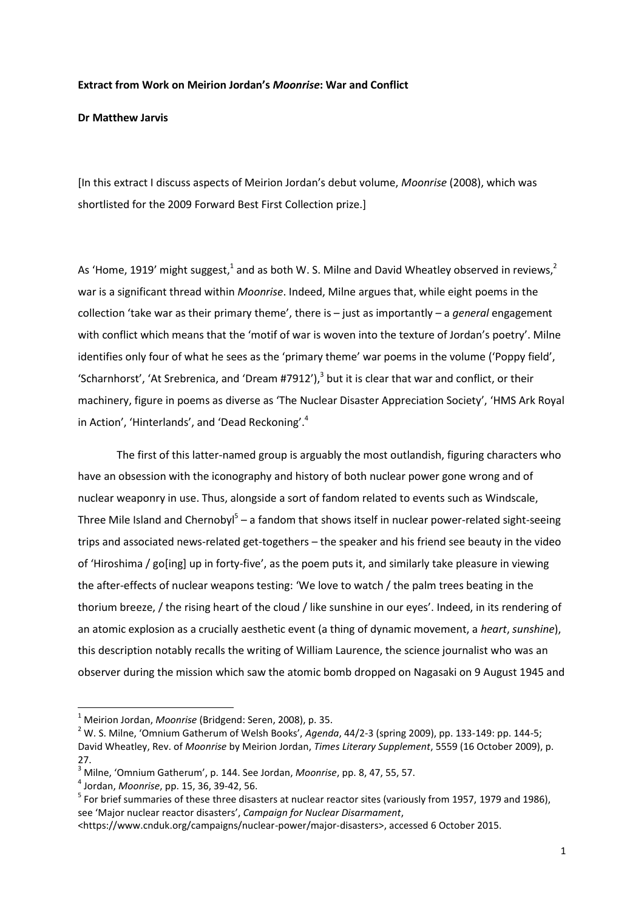## **Extract from Work on Meirion Jordan's** *Moonrise***: War and Conflict**

## **Dr Matthew Jarvis**

[In this extract I discuss aspects of Meirion Jordan's debut volume, *Moonrise* (2008), which was shortlisted for the 2009 Forward Best First Collection prize.]

As 'Home, 1919' might suggest,<sup>1</sup> and as both W. S. Milne and David Wheatley observed in reviews,<sup>2</sup> war is a significant thread within *Moonrise*. Indeed, Milne argues that, while eight poems in the collection 'take war as their primary theme', there is – just as importantly – a *general* engagement with conflict which means that the 'motif of war is woven into the texture of Jordan's poetry'. Milne identifies only four of what he sees as the 'primary theme' war poems in the volume ('Poppy field', 'Scharnhorst', 'At Srebrenica, and 'Dream #7912'), $3$  but it is clear that war and conflict, or their machinery, figure in poems as diverse as 'The Nuclear Disaster Appreciation Society', 'HMS Ark Royal in Action', 'Hinterlands', and 'Dead Reckoning'.<sup>4</sup>

The first of this latter-named group is arguably the most outlandish, figuring characters who have an obsession with the iconography and history of both nuclear power gone wrong and of nuclear weaponry in use. Thus, alongside a sort of fandom related to events such as Windscale, Three Mile Island and Chernobyl<sup>5</sup> – a fandom that shows itself in nuclear power-related sight-seeing trips and associated news-related get-togethers – the speaker and his friend see beauty in the video of 'Hiroshima / go[ing] up in forty-five', as the poem puts it, and similarly take pleasure in viewing the after-effects of nuclear weapons testing: 'We love to watch / the palm trees beating in the thorium breeze, / the rising heart of the cloud / like sunshine in our eyes'. Indeed, in its rendering of an atomic explosion as a crucially aesthetic event (a thing of dynamic movement, a *heart*, *sunshine*), this description notably recalls the writing of William Laurence, the science journalist who was an observer during the mission which saw the atomic bomb dropped on Nagasaki on 9 August 1945 and

**.** 

<sup>1</sup> Meirion Jordan, *Moonrise* (Bridgend: Seren, 2008), p. 35.

<sup>2</sup> W. S. Milne, 'Omnium Gatherum of Welsh Books', *Agenda*, 44/2-3 (spring 2009), pp. 133-149: pp. 144-5; David Wheatley, Rev. of *Moonrise* by Meirion Jordan, *Times Literary Supplement*, 5559 (16 October 2009), p. 27.

<sup>3</sup> Milne, 'Omnium Gatherum', p. 144. See Jordan, *Moonrise*, pp. 8, 47, 55, 57.

<sup>4</sup> Jordan, *Moonrise*, pp. 15, 36, 39-42, 56.

<sup>&</sup>lt;sup>5</sup> For brief summaries of these three disasters at nuclear reactor sites (variously from 1957, 1979 and 1986), see 'Major nuclear reactor disasters', *Campaign for Nuclear Disarmament*,

<sup>&</sup>lt;https://www.cnduk.org/campaigns/nuclear-power/major-disasters>, accessed 6 October 2015.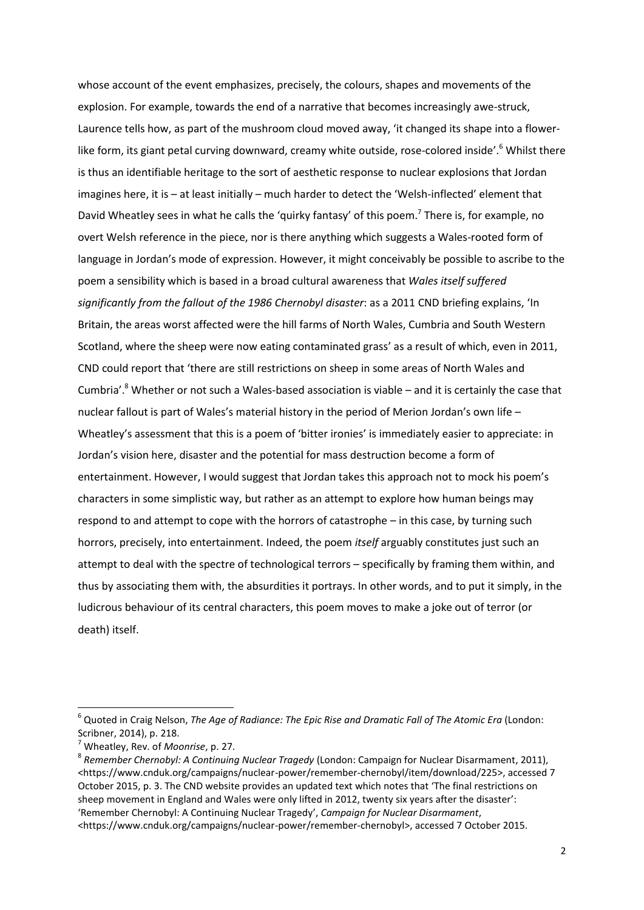whose account of the event emphasizes, precisely, the colours, shapes and movements of the explosion. For example, towards the end of a narrative that becomes increasingly awe-struck, Laurence tells how, as part of the mushroom cloud moved away, 'it changed its shape into a flowerlike form, its giant petal curving downward, creamy white outside, rose-colored inside'.<sup>6</sup> Whilst there is thus an identifiable heritage to the sort of aesthetic response to nuclear explosions that Jordan imagines here, it is – at least initially – much harder to detect the 'Welsh-inflected' element that David Wheatley sees in what he calls the 'quirky fantasy' of this poem.<sup>7</sup> There is, for example, no overt Welsh reference in the piece, nor is there anything which suggests a Wales-rooted form of language in Jordan's mode of expression. However, it might conceivably be possible to ascribe to the poem a sensibility which is based in a broad cultural awareness that *Wales itself suffered significantly from the fallout of the 1986 Chernobyl disaster*: as a 2011 CND briefing explains, 'In Britain, the areas worst affected were the hill farms of North Wales, Cumbria and South Western Scotland, where the sheep were now eating contaminated grass' as a result of which, even in 2011, CND could report that 'there are still restrictions on sheep in some areas of North Wales and Cumbria'.<sup>8</sup> Whether or not such a Wales-based association is viable – and it is certainly the case that nuclear fallout is part of Wales's material history in the period of Merion Jordan's own life – Wheatley's assessment that this is a poem of 'bitter ironies' is immediately easier to appreciate: in Jordan's vision here, disaster and the potential for mass destruction become a form of entertainment. However, I would suggest that Jordan takes this approach not to mock his poem's characters in some simplistic way, but rather as an attempt to explore how human beings may respond to and attempt to cope with the horrors of catastrophe – in this case, by turning such horrors, precisely, into entertainment. Indeed, the poem *itself* arguably constitutes just such an attempt to deal with the spectre of technological terrors – specifically by framing them within, and thus by associating them with, the absurdities it portrays. In other words, and to put it simply, in the ludicrous behaviour of its central characters, this poem moves to make a joke out of terror (or death) itself.

**.** 

<sup>6</sup> Quoted in Craig Nelson, *The Age of Radiance: The Epic Rise and Dramatic Fall of The Atomic Era* (London: Scribner, 2014), p. 218.

<sup>7</sup> Wheatley, Rev. of *Moonrise*, p. 27.

<sup>8</sup> *Remember Chernobyl: A Continuing Nuclear Tragedy* (London: Campaign for Nuclear Disarmament, 2011), <https://www.cnduk.org/campaigns/nuclear-power/remember-chernobyl/item/download/225>, accessed 7 October 2015, p. 3. The CND website provides an updated text which notes that 'The final restrictions on sheep movement in England and Wales were only lifted in 2012, twenty six years after the disaster': 'Remember Chernobyl: A Continuing Nuclear Tragedy', *Campaign for Nuclear Disarmament*, <https://www.cnduk.org/campaigns/nuclear-power/remember-chernobyl>, accessed 7 October 2015.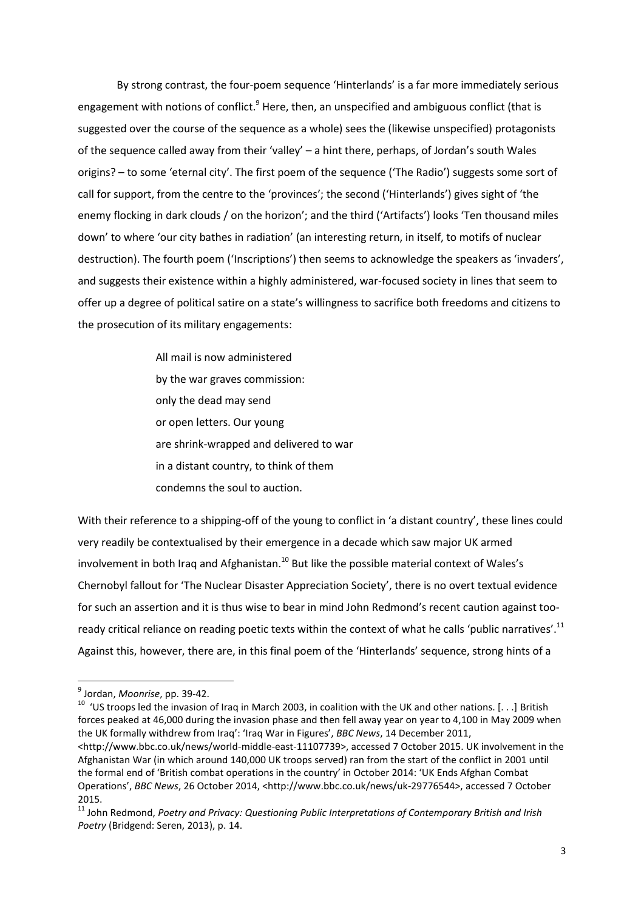By strong contrast, the four-poem sequence 'Hinterlands' is a far more immediately serious engagement with notions of conflict. $9$  Here, then, an unspecified and ambiguous conflict (that is suggested over the course of the sequence as a whole) sees the (likewise unspecified) protagonists of the sequence called away from their 'valley' – a hint there, perhaps, of Jordan's south Wales origins? – to some 'eternal city'. The first poem of the sequence ('The Radio') suggests some sort of call for support, from the centre to the 'provinces'; the second ('Hinterlands') gives sight of 'the enemy flocking in dark clouds / on the horizon'; and the third ('Artifacts') looks 'Ten thousand miles down' to where 'our city bathes in radiation' (an interesting return, in itself, to motifs of nuclear destruction). The fourth poem ('Inscriptions') then seems to acknowledge the speakers as 'invaders', and suggests their existence within a highly administered, war-focused society in lines that seem to offer up a degree of political satire on a state's willingness to sacrifice both freedoms and citizens to the prosecution of its military engagements:

> All mail is now administered by the war graves commission: only the dead may send or open letters. Our young are shrink-wrapped and delivered to war in a distant country, to think of them condemns the soul to auction.

With their reference to a shipping-off of the young to conflict in 'a distant country', these lines could very readily be contextualised by their emergence in a decade which saw major UK armed involvement in both Iraq and Afghanistan. $^{10}$  But like the possible material context of Wales's Chernobyl fallout for 'The Nuclear Disaster Appreciation Society', there is no overt textual evidence for such an assertion and it is thus wise to bear in mind John Redmond's recent caution against tooready critical reliance on reading poetic texts within the context of what he calls 'public narratives'.<sup>11</sup> Against this, however, there are, in this final poem of the 'Hinterlands' sequence, strong hints of a

 9 Jordan, *Moonrise*, pp. 39-42.

<sup>&</sup>lt;sup>10</sup> 'US troops led the invasion of Iraq in March 2003, in coalition with the UK and other nations. [...] British forces peaked at 46,000 during the invasion phase and then fell away year on year to 4,100 in May 2009 when the UK formally withdrew from Iraq': 'Iraq War in Figures', *BBC News*, 14 December 2011, <http://www.bbc.co.uk/news/world-middle-east-11107739>, accessed 7 October 2015. UK involvement in the Afghanistan War (in which around 140,000 UK troops served) ran from the start of the conflict in 2001 until the formal end of 'British combat operations in the country' in October 2014: 'UK Ends Afghan Combat Operations', *BBC News*, 26 October 2014, <http://www.bbc.co.uk/news/uk-29776544>, accessed 7 October 2015.

<sup>11</sup> John Redmond, *Poetry and Privacy: Questioning Public Interpretations of Contemporary British and Irish Poetry* (Bridgend: Seren, 2013), p. 14.